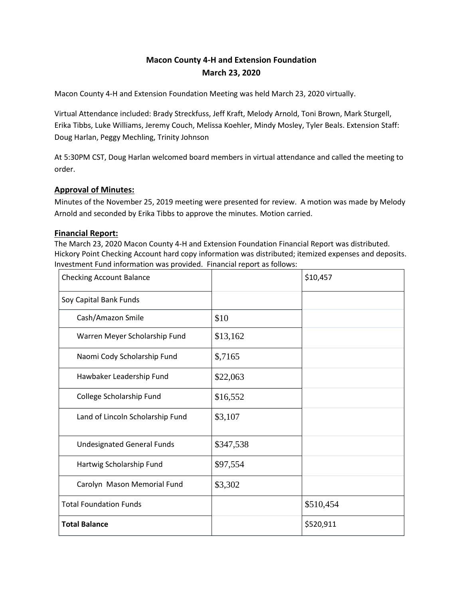# **Macon County 4-H and Extension Foundation March 23, 2020**

Macon County 4-H and Extension Foundation Meeting was held March 23, 2020 virtually.

Virtual Attendance included: Brady Streckfuss, Jeff Kraft, Melody Arnold, Toni Brown, Mark Sturgell, Erika Tibbs, Luke Williams, Jeremy Couch, Melissa Koehler, Mindy Mosley, Tyler Beals. Extension Staff: Doug Harlan, Peggy Mechling, Trinity Johnson

At 5:30PM CST, Doug Harlan welcomed board members in virtual attendance and called the meeting to order.

#### **Approval of Minutes:**

Minutes of the November 25, 2019 meeting were presented for review. A motion was made by Melody Arnold and seconded by Erika Tibbs to approve the minutes. Motion carried.

#### **Financial Report:**

The March 23, 2020 Macon County 4-H and Extension Foundation Financial Report was distributed. Hickory Point Checking Account hard copy information was distributed; itemized expenses and deposits. Investment Fund information was provided. Financial report as follows:

| <b>Checking Account Balance</b>   |           | \$10,457  |
|-----------------------------------|-----------|-----------|
| Soy Capital Bank Funds            |           |           |
| Cash/Amazon Smile                 | \$10      |           |
| Warren Meyer Scholarship Fund     | \$13,162  |           |
| Naomi Cody Scholarship Fund       | \$,7165   |           |
| Hawbaker Leadership Fund          | \$22,063  |           |
| College Scholarship Fund          | \$16,552  |           |
| Land of Lincoln Scholarship Fund  | \$3,107   |           |
| <b>Undesignated General Funds</b> | \$347,538 |           |
| Hartwig Scholarship Fund          | \$97,554  |           |
| Carolyn Mason Memorial Fund       | \$3,302   |           |
| <b>Total Foundation Funds</b>     |           | \$510,454 |
| <b>Total Balance</b>              |           | \$520,911 |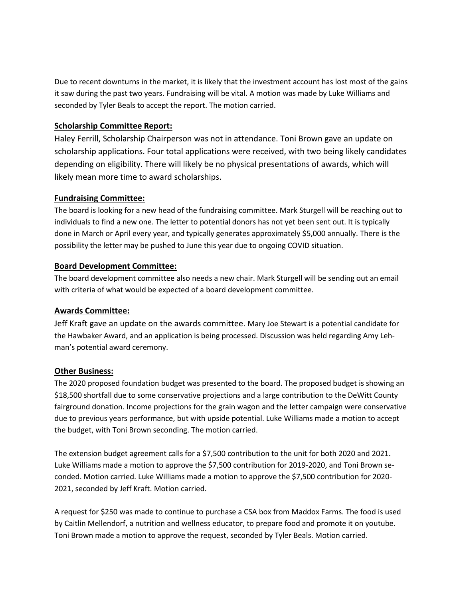Due to recent downturns in the market, it is likely that the investment account has lost most of the gains it saw during the past two years. Fundraising will be vital. A motion was made by Luke Williams and seconded by Tyler Beals to accept the report. The motion carried.

## **Scholarship Committee Report:**

Haley Ferrill, Scholarship Chairperson was not in attendance. Toni Brown gave an update on scholarship applications. Four total applications were received, with two being likely candidates depending on eligibility. There will likely be no physical presentations of awards, which will likely mean more time to award scholarships.

# **Fundraising Committee:**

The board is looking for a new head of the fundraising committee. Mark Sturgell will be reaching out to individuals to find a new one. The letter to potential donors has not yet been sent out. It is typically done in March or April every year, and typically generates approximately \$5,000 annually. There is the possibility the letter may be pushed to June this year due to ongoing COVID situation.

# **Board Development Committee:**

The board development committee also needs a new chair. Mark Sturgell will be sending out an email with criteria of what would be expected of a board development committee.

### **Awards Committee:**

Jeff Kraft gave an update on the awards committee. Mary Joe Stewart is a potential candidate for the Hawbaker Award, and an application is being processed. Discussion was held regarding Amy Lehman's potential award ceremony.

### **Other Business:**

The 2020 proposed foundation budget was presented to the board. The proposed budget is showing an \$18,500 shortfall due to some conservative projections and a large contribution to the DeWitt County fairground donation. Income projections for the grain wagon and the letter campaign were conservative due to previous years performance, but with upside potential. Luke Williams made a motion to accept the budget, with Toni Brown seconding. The motion carried.

The extension budget agreement calls for a \$7,500 contribution to the unit for both 2020 and 2021. Luke Williams made a motion to approve the \$7,500 contribution for 2019-2020, and Toni Brown seconded. Motion carried. Luke Williams made a motion to approve the \$7,500 contribution for 2020- 2021, seconded by Jeff Kraft. Motion carried.

A request for \$250 was made to continue to purchase a CSA box from Maddox Farms. The food is used by Caitlin Mellendorf, a nutrition and wellness educator, to prepare food and promote it on youtube. Toni Brown made a motion to approve the request, seconded by Tyler Beals. Motion carried.